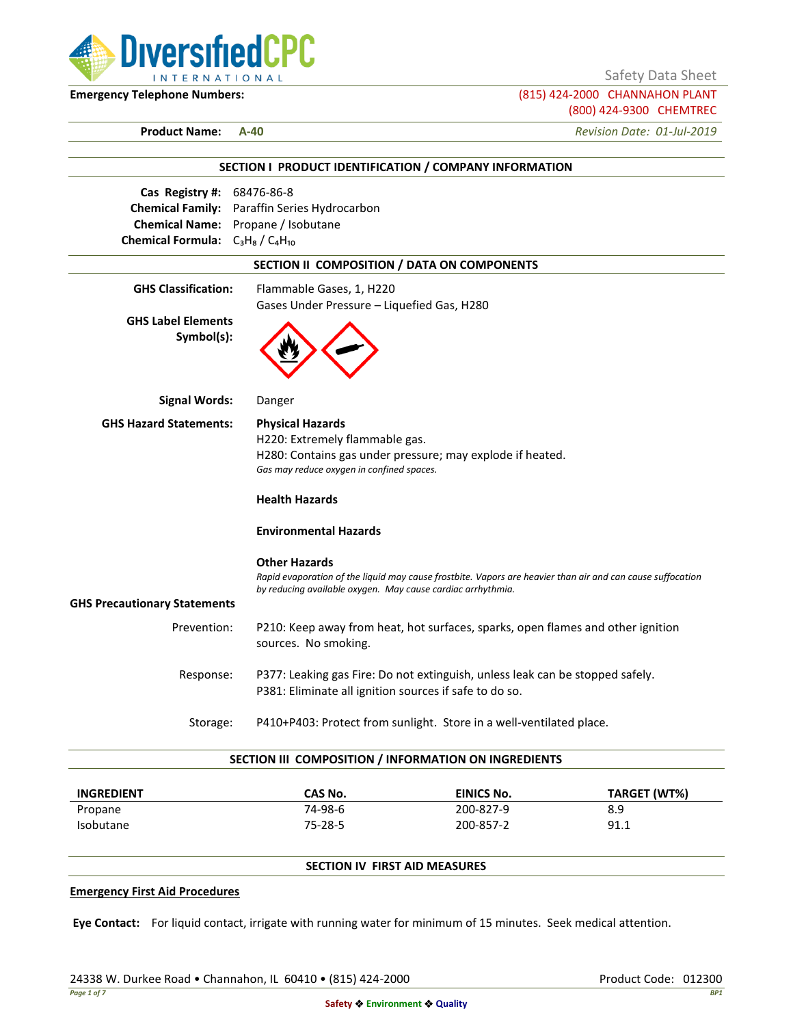

Safety Data Sheet

**Emergency Telephone Numbers:** (815) 424-2000 CHANNAHON PLANT (800) 424-9300 CHEMTREC

**Product Name: A-40** *Revision Date: 01-Jul-2019*

|                                         | SECTION I PRODUCT IDENTIFICATION / COMPANY INFORMATION                                                     |
|-----------------------------------------|------------------------------------------------------------------------------------------------------------|
| Cas Registry #: 68476-86-8              |                                                                                                            |
|                                         | Chemical Family: Paraffin Series Hydrocarbon                                                               |
|                                         | Chemical Name: Propane / Isobutane                                                                         |
| Chemical Formula: $C_3H_8/C_4H_{10}$    |                                                                                                            |
|                                         | SECTION II COMPOSITION / DATA ON COMPONENTS                                                                |
| <b>GHS Classification:</b>              | Flammable Gases, 1, H220                                                                                   |
|                                         | Gases Under Pressure - Liquefied Gas, H280                                                                 |
| <b>GHS Label Elements</b><br>Symbol(s): |                                                                                                            |
| <b>Signal Words:</b>                    | Danger                                                                                                     |
| <b>GHS Hazard Statements:</b>           | <b>Physical Hazards</b>                                                                                    |
|                                         | H220: Extremely flammable gas.                                                                             |
|                                         | H280: Contains gas under pressure; may explode if heated.<br>Gas may reduce oxygen in confined spaces.     |
|                                         | <b>Health Hazards</b>                                                                                      |
|                                         | <b>Environmental Hazards</b>                                                                               |
|                                         | <b>Other Hazards</b>                                                                                       |
|                                         | Rapid evaporation of the liquid may cause frostbite. Vapors are heavier than air and can cause suffocation |
| <b>GHS Precautionary Statements</b>     | by reducing available oxygen. May cause cardiac arrhythmia.                                                |
|                                         |                                                                                                            |
| Prevention:                             | P210: Keep away from heat, hot surfaces, sparks, open flames and other ignition<br>sources. No smoking.    |
| Response:                               | P377: Leaking gas Fire: Do not extinguish, unless leak can be stopped safely.                              |
|                                         | P381: Eliminate all ignition sources if safe to do so.                                                     |
|                                         | P410+P403: Protect from sunlight. Store in a well-ventilated place.<br>Storage:                            |

| <b>INGREDIENT</b> | CAS No. | EINICS No. | TARGET (WT%) |
|-------------------|---------|------------|--------------|
| Propane           | 74-98-6 | 200-827-9  | 8.9          |
| Isobutane         | 75-28-5 | 200-857-2  | 91.1         |

# **SECTION IV FIRST AID MEASURES**

#### **Emergency First Aid Procedures**

**Eye Contact:** For liquid contact, irrigate with running water for minimum of 15 minutes. Seek medical attention.

24338 W. Durkee Road • Channahon, IL 60410 • (815) 424-2000 Product Code: 012300 Product Code: 012300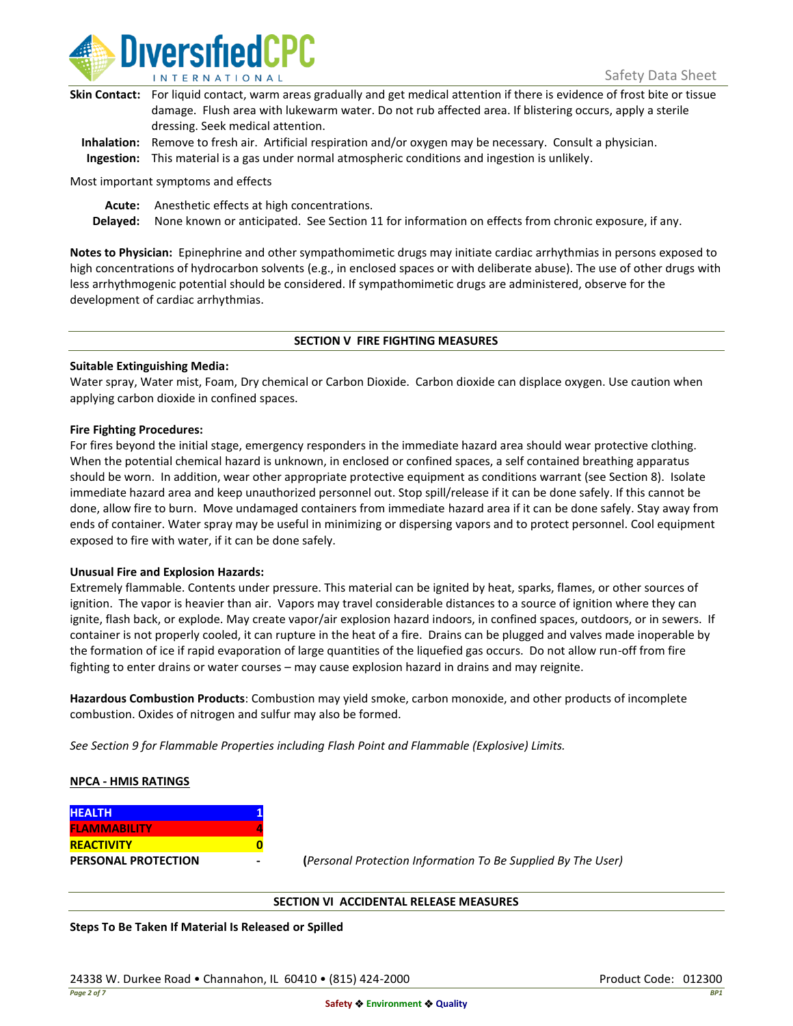

| Skin Contact: For liquid contact, warm areas gradually and get medical attention if there is evidence of frost bite or tissue |
|-------------------------------------------------------------------------------------------------------------------------------|
| damage. Flush area with lukewarm water. Do not rub affected area. If blistering occurs, apply a sterile                       |
| dressing. Seek medical attention.                                                                                             |
|                                                                                                                               |

**Inhalation:** Remove to fresh air. Artificial respiration and/or oxygen may be necessary. Consult a physician. **Ingestion:** This material is a gas under normal atmospheric conditions and ingestion is unlikely.

Most important symptoms and effects

**Acute:** Anesthetic effects at high concentrations.

**Delayed:** None known or anticipated. See Section 11 for information on effects from chronic exposure, if any.

**Notes to Physician:** Epinephrine and other sympathomimetic drugs may initiate cardiac arrhythmias in persons exposed to high concentrations of hydrocarbon solvents (e.g., in enclosed spaces or with deliberate abuse). The use of other drugs with less arrhythmogenic potential should be considered. If sympathomimetic drugs are administered, observe for the development of cardiac arrhythmias.

### **SECTION V FIRE FIGHTING MEASURES**

### **Suitable Extinguishing Media:**

Water spray, Water mist, Foam, Dry chemical or Carbon Dioxide. Carbon dioxide can displace oxygen. Use caution when applying carbon dioxide in confined spaces.

### **Fire Fighting Procedures:**

For fires beyond the initial stage, emergency responders in the immediate hazard area should wear protective clothing. When the potential chemical hazard is unknown, in enclosed or confined spaces, a self contained breathing apparatus should be worn. In addition, wear other appropriate protective equipment as conditions warrant (see Section 8). Isolate immediate hazard area and keep unauthorized personnel out. Stop spill/release if it can be done safely. If this cannot be done, allow fire to burn. Move undamaged containers from immediate hazard area if it can be done safely. Stay away from ends of container. Water spray may be useful in minimizing or dispersing vapors and to protect personnel. Cool equipment exposed to fire with water, if it can be done safely.

### **Unusual Fire and Explosion Hazards:**

Extremely flammable. Contents under pressure. This material can be ignited by heat, sparks, flames, or other sources of ignition. The vapor is heavier than air. Vapors may travel considerable distances to a source of ignition where they can ignite, flash back, or explode. May create vapor/air explosion hazard indoors, in confined spaces, outdoors, or in sewers. If container is not properly cooled, it can rupture in the heat of a fire. Drains can be plugged and valves made inoperable by the formation of ice if rapid evaporation of large quantities of the liquefied gas occurs. Do not allow run-off from fire fighting to enter drains or water courses – may cause explosion hazard in drains and may reignite.

**Hazardous Combustion Products**: Combustion may yield smoke, carbon monoxide, and other products of incomplete combustion. Oxides of nitrogen and sulfur may also be formed.

*See Section 9 for Flammable Properties including Flash Point and Flammable (Explosive) Limits.*

### **NPCA - HMIS RATINGS**

| <b>HEALTH</b>              |  |
|----------------------------|--|
| <b>FLAMMABILITY</b>        |  |
| <b>REACTIVITY</b>          |  |
| <b>PERSONAL PROTECTION</b> |  |

**PERSONAL PROTECTION - (***Personal Protection Information To Be Supplied By The User)*

### **SECTION VI ACCIDENTAL RELEASE MEASURES**

**Steps To Be Taken If Material Is Released or Spilled**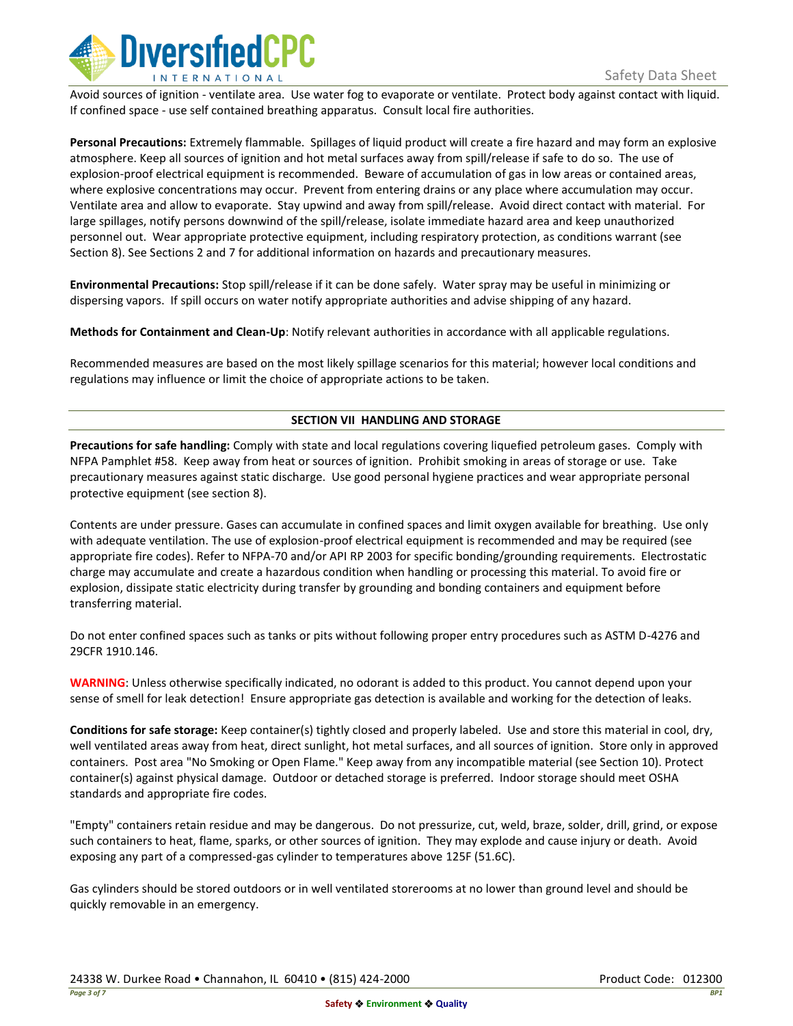

Avoid sources of ignition - ventilate area. Use water fog to evaporate or ventilate. Protect body against contact with liquid. If confined space - use self contained breathing apparatus. Consult local fire authorities.

**Personal Precautions:** Extremely flammable. Spillages of liquid product will create a fire hazard and may form an explosive atmosphere. Keep all sources of ignition and hot metal surfaces away from spill/release if safe to do so. The use of explosion-proof electrical equipment is recommended. Beware of accumulation of gas in low areas or contained areas, where explosive concentrations may occur. Prevent from entering drains or any place where accumulation may occur. Ventilate area and allow to evaporate. Stay upwind and away from spill/release. Avoid direct contact with material. For large spillages, notify persons downwind of the spill/release, isolate immediate hazard area and keep unauthorized personnel out. Wear appropriate protective equipment, including respiratory protection, as conditions warrant (see Section 8). See Sections 2 and 7 for additional information on hazards and precautionary measures.

**Environmental Precautions:** Stop spill/release if it can be done safely. Water spray may be useful in minimizing or dispersing vapors. If spill occurs on water notify appropriate authorities and advise shipping of any hazard.

**Methods for Containment and Clean-Up**: Notify relevant authorities in accordance with all applicable regulations.

Recommended measures are based on the most likely spillage scenarios for this material; however local conditions and regulations may influence or limit the choice of appropriate actions to be taken.

## **SECTION VII HANDLING AND STORAGE**

**Precautions for safe handling:** Comply with state and local regulations covering liquefied petroleum gases. Comply with NFPA Pamphlet #58. Keep away from heat or sources of ignition. Prohibit smoking in areas of storage or use. Take precautionary measures against static discharge. Use good personal hygiene practices and wear appropriate personal protective equipment (see section 8).

Contents are under pressure. Gases can accumulate in confined spaces and limit oxygen available for breathing. Use only with adequate ventilation. The use of explosion-proof electrical equipment is recommended and may be required (see appropriate fire codes). Refer to NFPA-70 and/or API RP 2003 for specific bonding/grounding requirements. Electrostatic charge may accumulate and create a hazardous condition when handling or processing this material. To avoid fire or explosion, dissipate static electricity during transfer by grounding and bonding containers and equipment before transferring material.

Do not enter confined spaces such as tanks or pits without following proper entry procedures such as ASTM D-4276 and 29CFR 1910.146.

**WARNING**: Unless otherwise specifically indicated, no odorant is added to this product. You cannot depend upon your sense of smell for leak detection! Ensure appropriate gas detection is available and working for the detection of leaks.

**Conditions for safe storage:** Keep container(s) tightly closed and properly labeled. Use and store this material in cool, dry, well ventilated areas away from heat, direct sunlight, hot metal surfaces, and all sources of ignition. Store only in approved containers. Post area "No Smoking or Open Flame." Keep away from any incompatible material (see Section 10). Protect container(s) against physical damage. Outdoor or detached storage is preferred. Indoor storage should meet OSHA standards and appropriate fire codes.

"Empty" containers retain residue and may be dangerous. Do not pressurize, cut, weld, braze, solder, drill, grind, or expose such containers to heat, flame, sparks, or other sources of ignition. They may explode and cause injury or death. Avoid exposing any part of a compressed-gas cylinder to temperatures above 125F (51.6C).

Gas cylinders should be stored outdoors or in well ventilated storerooms at no lower than ground level and should be quickly removable in an emergency.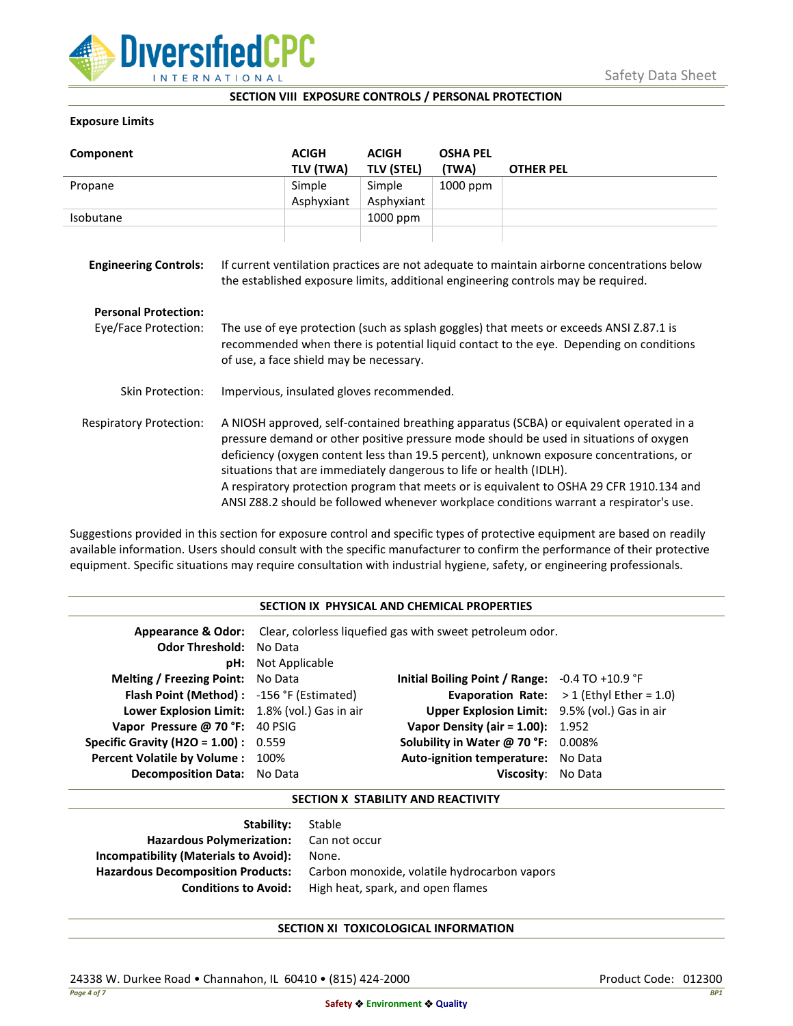

### **SECTION VIII EXPOSURE CONTROLS / PERSONAL PROTECTION**

### **Exposure Limits**

| Component                      |                                                                                                                                                                                                                                                                                                                                                                                                                                                                                                                                            | <b>ACIGH</b><br>TLV (TWA) | <b>ACIGH</b><br><b>TLV (STEL)</b> | <b>OSHA PEL</b><br>(TWA) | <b>OTHER PEL</b> |
|--------------------------------|--------------------------------------------------------------------------------------------------------------------------------------------------------------------------------------------------------------------------------------------------------------------------------------------------------------------------------------------------------------------------------------------------------------------------------------------------------------------------------------------------------------------------------------------|---------------------------|-----------------------------------|--------------------------|------------------|
| Propane                        |                                                                                                                                                                                                                                                                                                                                                                                                                                                                                                                                            | Simple                    | Simple                            | 1000 ppm                 |                  |
|                                |                                                                                                                                                                                                                                                                                                                                                                                                                                                                                                                                            | Asphyxiant                | Asphyxiant                        |                          |                  |
| Isobutane                      |                                                                                                                                                                                                                                                                                                                                                                                                                                                                                                                                            |                           | 1000 ppm                          |                          |                  |
| <b>Engineering Controls:</b>   | If current ventilation practices are not adequate to maintain airborne concentrations below<br>the established exposure limits, additional engineering controls may be required.                                                                                                                                                                                                                                                                                                                                                           |                           |                                   |                          |                  |
| <b>Personal Protection:</b>    |                                                                                                                                                                                                                                                                                                                                                                                                                                                                                                                                            |                           |                                   |                          |                  |
| Eye/Face Protection:           | The use of eye protection (such as splash goggles) that meets or exceeds ANSI Z.87.1 is<br>recommended when there is potential liquid contact to the eye. Depending on conditions<br>of use, a face shield may be necessary.                                                                                                                                                                                                                                                                                                               |                           |                                   |                          |                  |
| Skin Protection:               | Impervious, insulated gloves recommended.                                                                                                                                                                                                                                                                                                                                                                                                                                                                                                  |                           |                                   |                          |                  |
| <b>Respiratory Protection:</b> | A NIOSH approved, self-contained breathing apparatus (SCBA) or equivalent operated in a<br>pressure demand or other positive pressure mode should be used in situations of oxygen<br>deficiency (oxygen content less than 19.5 percent), unknown exposure concentrations, or<br>situations that are immediately dangerous to life or health (IDLH).<br>A respiratory protection program that meets or is equivalent to OSHA 29 CFR 1910.134 and<br>ANSI Z88.2 should be followed whenever workplace conditions warrant a respirator's use. |                           |                                   |                          |                  |

Suggestions provided in this section for exposure control and specific types of protective equipment are based on readily available information. Users should consult with the specific manufacturer to confirm the performance of their protective equipment. Specific situations may require consultation with industrial hygiene, safety, or engineering professionals.

### **SECTION IX PHYSICAL AND CHEMICAL PROPERTIES**

| <b>Odor Threshold: No Data</b>                | <b>pH:</b> Not Applicable | <b>Appearance &amp; Odor:</b> Clear, colorless liquefied gas with sweet petroleum odor. |                                                   |
|-----------------------------------------------|---------------------------|-----------------------------------------------------------------------------------------|---------------------------------------------------|
| <b>Melting / Freezing Point:</b> No Data      |                           | Initial Boiling Point / Range: $-0.4$ TO $+10.9$ °F                                     |                                                   |
| Flash Point (Method): -156 °F (Estimated)     |                           |                                                                                         | <b>Evaporation Rate:</b> $>1$ (Ethyl Ether = 1.0) |
| Lower Explosion Limit: 1.8% (vol.) Gas in air |                           | Upper Explosion Limit: 9.5% (vol.) Gas in air                                           |                                                   |
| Vapor Pressure @ 70 °F: 40 PSIG               |                           | <b>Vapor Density (air = 1.00):</b> 1.952                                                |                                                   |
| <b>Specific Gravity (H2O = 1.00):</b> $0.559$ |                           | Solubility in Water @ 70 °F: 0.008%                                                     |                                                   |
| Percent Volatile by Volume: 100%              |                           | Auto-ignition temperature: No Data                                                      |                                                   |
| <b>Decomposition Data:</b> No Data            |                           | Viscosity: No Data                                                                      |                                                   |

### **SECTION X STABILITY AND REACTIVITY**

| Stable                                       |
|----------------------------------------------|
| Hazardous Polymerization: Can not occur      |
| None.                                        |
| Carbon monoxide, volatile hydrocarbon vapors |
| High heat, spark, and open flames            |
|                                              |

# **SECTION XI TOXICOLOGICAL INFORMATION**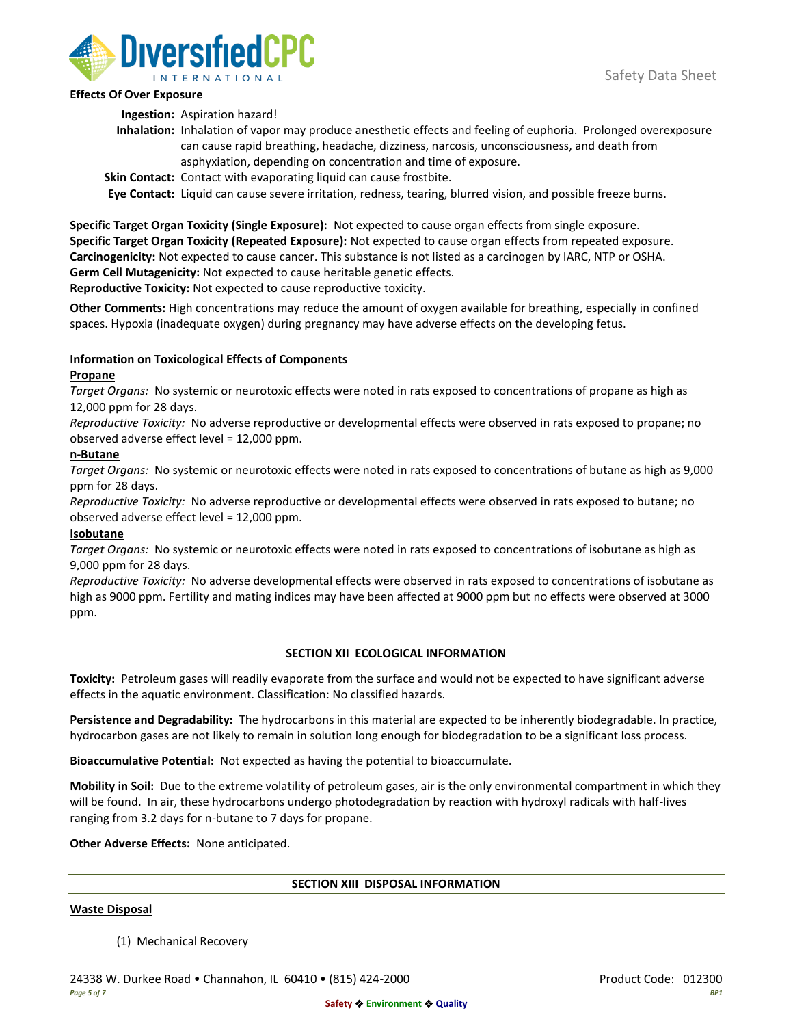

## **Effects Of Over Exposure**

**Ingestion:** Aspiration hazard!

- **Inhalation:** Inhalation of vapor may produce anesthetic effects and feeling of euphoria. Prolonged overexposure can cause rapid breathing, headache, dizziness, narcosis, unconsciousness, and death from asphyxiation, depending on concentration and time of exposure.
- **Skin Contact:** Contact with evaporating liquid can cause frostbite.

**Eye Contact:** Liquid can cause severe irritation, redness, tearing, blurred vision, and possible freeze burns.

**Specific Target Organ Toxicity (Single Exposure):** Not expected to cause organ effects from single exposure. **Specific Target Organ Toxicity (Repeated Exposure):** Not expected to cause organ effects from repeated exposure. **Carcinogenicity:** Not expected to cause cancer. This substance is not listed as a carcinogen by IARC, NTP or OSHA. **Germ Cell Mutagenicity:** Not expected to cause heritable genetic effects.

**Reproductive Toxicity:** Not expected to cause reproductive toxicity.

**Other Comments:** High concentrations may reduce the amount of oxygen available for breathing, especially in confined spaces. Hypoxia (inadequate oxygen) during pregnancy may have adverse effects on the developing fetus.

# **Information on Toxicological Effects of Components**

## **Propane**

*Target Organs:* No systemic or neurotoxic effects were noted in rats exposed to concentrations of propane as high as 12,000 ppm for 28 days.

*Reproductive Toxicity:* No adverse reproductive or developmental effects were observed in rats exposed to propane; no observed adverse effect level = 12,000 ppm.

## **n-Butane**

*Target Organs:* No systemic or neurotoxic effects were noted in rats exposed to concentrations of butane as high as 9,000 ppm for 28 days.

*Reproductive Toxicity:* No adverse reproductive or developmental effects were observed in rats exposed to butane; no observed adverse effect level = 12,000 ppm.

# **Isobutane**

*Target Organs:* No systemic or neurotoxic effects were noted in rats exposed to concentrations of isobutane as high as 9,000 ppm for 28 days.

*Reproductive Toxicity:* No adverse developmental effects were observed in rats exposed to concentrations of isobutane as high as 9000 ppm. Fertility and mating indices may have been affected at 9000 ppm but no effects were observed at 3000 ppm.

# **SECTION XII ECOLOGICAL INFORMATION**

**Toxicity:** Petroleum gases will readily evaporate from the surface and would not be expected to have significant adverse effects in the aquatic environment. Classification: No classified hazards.

**Persistence and Degradability:** The hydrocarbons in this material are expected to be inherently biodegradable. In practice, hydrocarbon gases are not likely to remain in solution long enough for biodegradation to be a significant loss process.

**Bioaccumulative Potential:** Not expected as having the potential to bioaccumulate.

**Mobility in Soil:** Due to the extreme volatility of petroleum gases, air is the only environmental compartment in which they will be found. In air, these hydrocarbons undergo photodegradation by reaction with hydroxyl radicals with half-lives ranging from 3.2 days for n-butane to 7 days for propane.

**Other Adverse Effects:** None anticipated.

### **SECTION XIII DISPOSAL INFORMATION**

### **Waste Disposal**

(1) Mechanical Recovery

24338 W. Durkee Road • Channahon, IL 60410 • (815) 424-2000 Product Code: 012300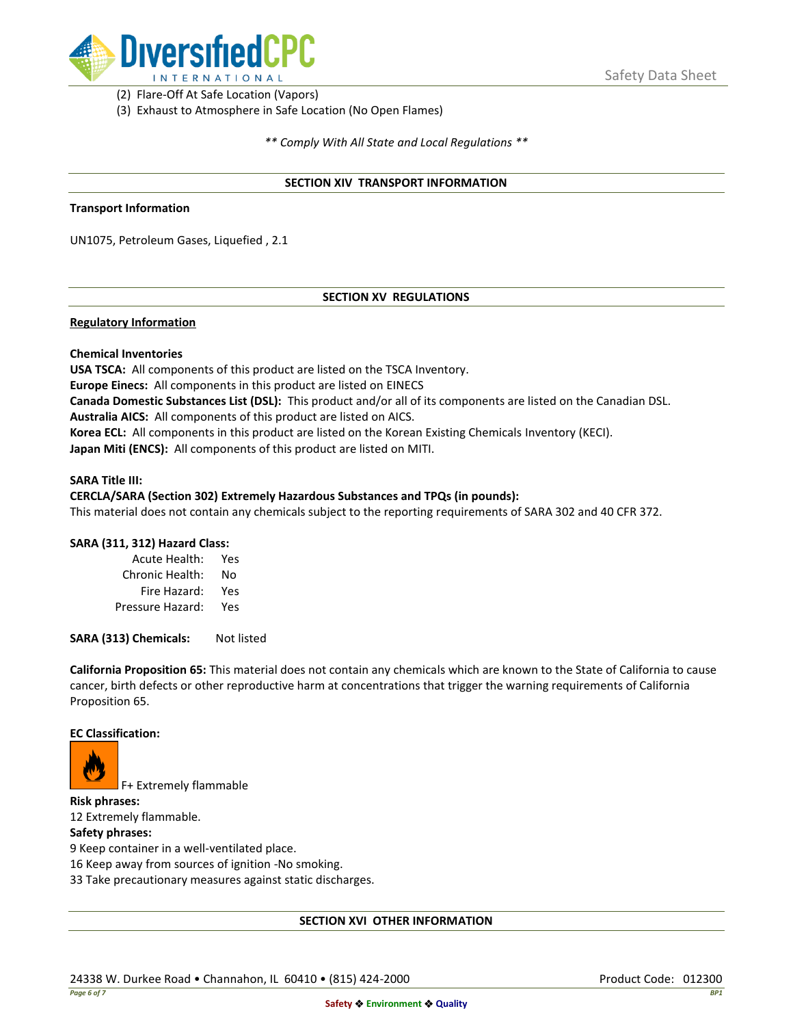

(2) Flare-Off At Safe Location (Vapors)

(3) Exhaust to Atmosphere in Safe Location (No Open Flames)

*\*\* Comply With All State and Local Regulations \*\**

### **SECTION XIV TRANSPORT INFORMATION**

#### **Transport Information**

UN1075, Petroleum Gases, Liquefied , 2.1

## **SECTION XV REGULATIONS**

### **Regulatory Information**

### **Chemical Inventories**

**USA TSCA:** All components of this product are listed on the TSCA Inventory. **Europe Einecs:** All components in this product are listed on EINECS **Canada Domestic Substances List (DSL):** This product and/or all of its components are listed on the Canadian DSL. **Australia AICS:** All components of this product are listed on AICS. **Korea ECL:** All components in this product are listed on the Korean Existing Chemicals Inventory (KECI). **Japan Miti (ENCS):** All components of this product are listed on MITI.

#### **SARA Title III:**

### **CERCLA/SARA (Section 302) Extremely Hazardous Substances and TPQs (in pounds):**

This material does not contain any chemicals subject to the reporting requirements of SARA 302 and 40 CFR 372.

### **SARA (311, 312) Hazard Class:**

| Acute Health:    | Yes |
|------------------|-----|
| Chronic Health:  | No  |
| Fire Hazard:     | Yes |
| Pressure Hazard: | Yes |

**SARA (313) Chemicals:** Not listed

**California Proposition 65:** This material does not contain any chemicals which are known to the State of California to cause cancer, birth defects or other reproductive harm at concentrations that trigger the warning requirements of California Proposition 65.

#### **EC Classification:**



F+ Extremely flammable

**Risk phrases:** 12 Extremely flammable.

## **Safety phrases:**

9 Keep container in a well-ventilated place.

16 Keep away from sources of ignition -No smoking.

33 Take precautionary measures against static discharges.

### **SECTION XVI OTHER INFORMATION**